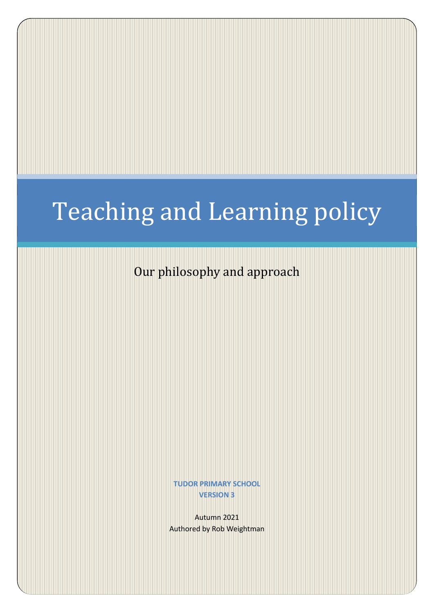# Teaching and Learning policy

Our philosophy and approach

**TUDOR PRIMARY SCHOOL VERSION 3**

Autumn 2021 Authored by Rob Weightman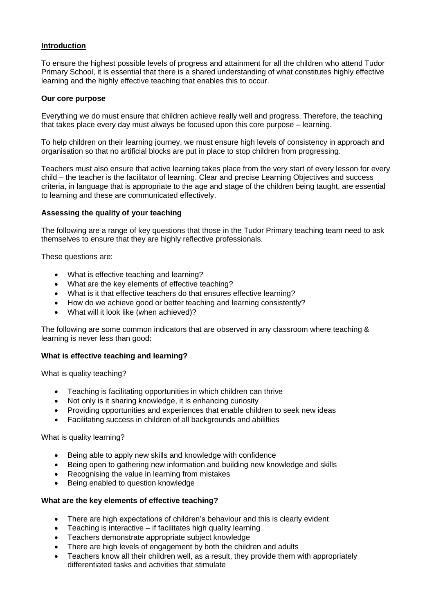## **Introduction**

To ensure the highest possible levels of progress and attainment for all the children who attend Tudor Primary School, it is essential that there is a shared understanding of what constitutes highly effective learning and the highly effective teaching that enables this to occur.

## **Our core purpose**

Everything we do must ensure that children achieve really well and progress. Therefore, the teaching that takes place every day must always be focused upon this core purpose – learning.

To help children on their learning journey, we must ensure high levels of consistency in approach and organisation so that no artificial blocks are put in place to stop children from progressing.

Teachers must also ensure that active learning takes place from the very start of every lesson for every child – the teacher is the facilitator of learning. Clear and precise Learning Objectives and success criteria, in language that is appropriate to the age and stage of the children being taught, are essential to learning and these are communicated effectively.

# **Assessing the quality of your teaching**

The following are a range of key questions that those in the Tudor Primary teaching team need to ask themselves to ensure that they are highly reflective professionals.

These questions are:

- What is effective teaching and learning?
- What are the key elements of effective teaching?
- What is it that effective teachers do that ensures effective learning?
- How do we achieve good or better teaching and learning consistently?
- What will it look like (when achieved)?

The following are some common indicators that are observed in any classroom where teaching & learning is never less than good:

## **What is effective teaching and learning?**

What is quality teaching?

- Teaching is facilitating opportunities in which children can thrive
- Not only is it sharing knowledge, it is enhancing curiosity
- Providing opportunities and experiences that enable children to seek new ideas
- Facilitating success in children of all backgrounds and abililties

What is quality learning?

- Being able to apply new skills and knowledge with confidence
- Being open to gathering new information and building new knowledge and skills
- Recognising the value in learning from mistakes
- Being enabled to question knowledge

## **What are the key elements of effective teaching?**

- There are high expectations of children's behaviour and this is clearly evident
- Teaching is interactive if facilitates high quality learning
- Teachers demonstrate appropriate subject knowledge
- There are high levels of engagement by both the children and adults
- Teachers know all their children well, as a result, they provide them with appropriately differentiated tasks and activities that stimulate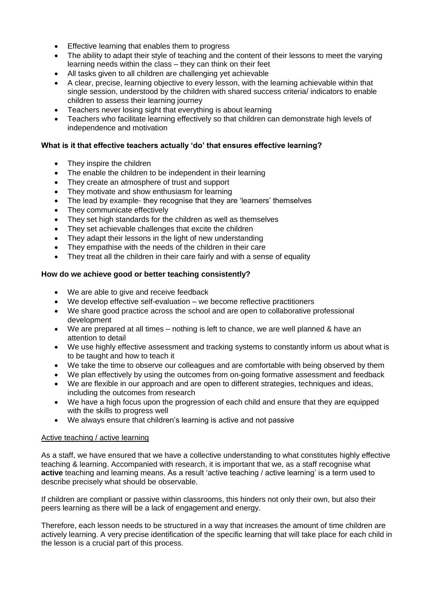- **Effective learning that enables them to progress**
- The ability to adapt their style of teaching and the content of their lessons to meet the varying learning needs within the class – they can think on their feet
- All tasks given to all children are challenging yet achievable
- A clear, precise, learning objective to every lesson, with the learning achievable within that single session, understood by the children with shared success criteria/ indicators to enable children to assess their learning journey
- Teachers never losing sight that everything is about learning
- Teachers who facilitate learning effectively so that children can demonstrate high levels of independence and motivation

# **What is it that effective teachers actually 'do' that ensures effective learning?**

- They inspire the children
- The enable the children to be independent in their learning
- They create an atmosphere of trust and support
- They motivate and show enthusiasm for learning
- The lead by example- they recognise that they are 'learners' themselves
- They communicate effectively
- They set high standards for the children as well as themselves
- They set achievable challenges that excite the children
- They adapt their lessons in the light of new understanding
- They empathise with the needs of the children in their care
- They treat all the children in their care fairly and with a sense of equality

# **How do we achieve good or better teaching consistently?**

- We are able to give and receive feedback
- We develop effective self-evaluation we become reflective practitioners
- We share good practice across the school and are open to collaborative professional development
- We are prepared at all times nothing is left to chance, we are well planned & have an attention to detail
- We use highly effective assessment and tracking systems to constantly inform us about what is to be taught and how to teach it
- We take the time to observe our colleagues and are comfortable with being observed by them
- We plan effectively by using the outcomes from on-going formative assessment and feedback
- We are flexible in our approach and are open to different strategies, techniques and ideas, including the outcomes from research
- We have a high focus upon the progression of each child and ensure that they are equipped with the skills to progress well
- We always ensure that children's learning is active and not passive

## Active teaching / active learning

As a staff, we have ensured that we have a collective understanding to what constitutes highly effective teaching & learning. Accompanied with research, it is important that we, as a staff recognise what **active** teaching and learning means. As a result 'active teaching / active learning' is a term used to describe precisely what should be observable.

If children are compliant or passive within classrooms, this hinders not only their own, but also their peers learning as there will be a lack of engagement and energy.

Therefore, each lesson needs to be structured in a way that increases the amount of time children are actively learning. A very precise identification of the specific learning that will take place for each child in the lesson is a crucial part of this process.